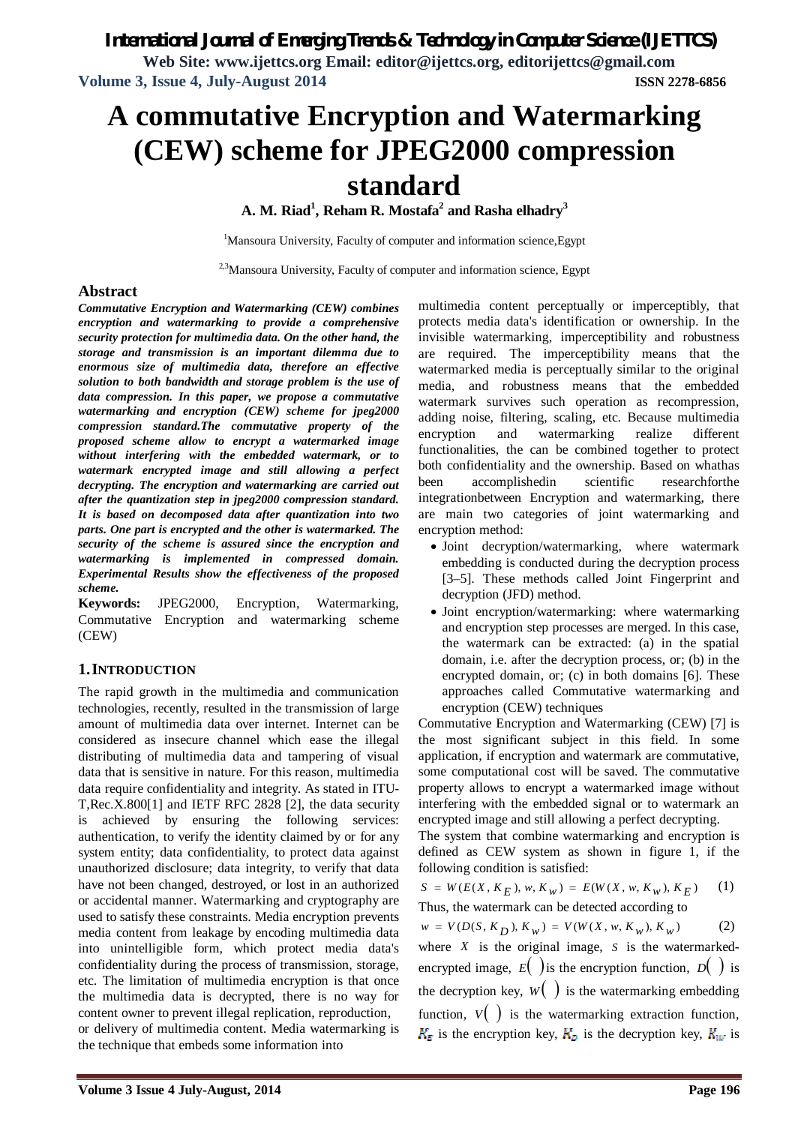**Web Site: www.ijettcs.org Email: editor@ijettcs.org, editorijettcs@gmail.com Volume 3, Issue 4, July-August 2014 ISSN 2278-6856**

# **A commutative Encryption and Watermarking (CEW) scheme for JPEG2000 compression standard**

**A. M. Riad<sup>1</sup> , Reham R. Mostafa<sup>2</sup> and Rasha elhadry<sup>3</sup>**

<sup>1</sup>Mansoura University, Faculty of computer and information science, Egypt

<sup>2,3</sup>Mansoura University, Faculty of computer and information science, Egypt

## **Abstract**

*Commutative Encryption and Watermarking (CEW) combines encryption and watermarking to provide a comprehensive security protection for multimedia data. On the other hand, the storage and transmission is an important dilemma due to enormous size of multimedia data, therefore an effective solution to both bandwidth and storage problem is the use of data compression. In this paper, we propose a commutative watermarking and encryption (CEW) scheme for jpeg2000 compression standard.The commutative property of the proposed scheme allow to encrypt a watermarked image without interfering with the embedded watermark, or to watermark encrypted image and still allowing a perfect decrypting. The encryption and watermarking are carried out after the quantization step in jpeg2000 compression standard. It is based on decomposed data after quantization into two parts. One part is encrypted and the other is watermarked. The security of the scheme is assured since the encryption and watermarking is implemented in compressed domain. Experimental Results show the effectiveness of the proposed scheme.*

**Keywords:** JPEG2000, Encryption, Watermarking, Commutative Encryption and watermarking scheme (CEW)

## **1.INTRODUCTION**

The rapid growth in the multimedia and communication technologies, recently, resulted in the transmission of large amount of multimedia data over internet. Internet can be considered as insecure channel which ease the illegal distributing of multimedia data and tampering of visual data that is sensitive in nature. For this reason, multimedia data require confidentiality and integrity. As stated in ITU-T,Rec.X.800[1] and IETF RFC 2828 [2], the data security is achieved by ensuring the following services: authentication, to verify the identity claimed by or for any system entity; data confidentiality, to protect data against unauthorized disclosure; data integrity, to verify that data have not been changed, destroyed, or lost in an authorized or accidental manner. Watermarking and cryptography are used to satisfy these constraints. Media encryption prevents media content from leakage by encoding multimedia data into unintelligible form, which protect media data's confidentiality during the process of transmission, storage, etc. The limitation of multimedia encryption is that once the multimedia data is decrypted, there is no way for content owner to prevent illegal replication, reproduction, or delivery of multimedia content. Media watermarking is the technique that embeds some information into

multimedia content perceptually or imperceptibly, that protects media data's identification or ownership. In the invisible watermarking, imperceptibility and robustness are required. The imperceptibility means that the watermarked media is perceptually similar to the original media, and robustness means that the embedded watermark survives such operation as recompression, adding noise, filtering, scaling, etc. Because multimedia encryption and watermarking realize different functionalities, the can be combined together to protect both confidentiality and the ownership. Based on whathas been accomplishedin scientific researchforthe integrationbetween Encryption and watermarking, there are main two categories of joint watermarking and encryption method:

- Joint decryption/watermarking, where watermark embedding is conducted during the decryption process [3–5]. These methods called Joint Fingerprint and decryption (JFD) method.
- Joint encryption/watermarking: where watermarking and encryption step processes are merged. In this case, the watermark can be extracted: (a) in the spatial domain, i.e. after the decryption process, or; (b) in the encrypted domain, or; (c) in both domains [6]. These approaches called Commutative watermarking and encryption (CEW) techniques

Commutative Encryption and Watermarking (CEW) [7] is the most significant subject in this field. In some application, if encryption and watermark are commutative, some computational cost will be saved. The commutative property allows to encrypt a watermarked image without interfering with the embedded signal or to watermark an encrypted image and still allowing a perfect decrypting.

The system that combine watermarking and encryption is defined as CEW system as shown in figure 1, if the following condition is satisfied:

$$
S = W(E(X, K_E), w, K_w) = E(W(X, w, K_w), K_E)
$$
 (1)  
Thus, the watermark can be detected according to

 $w = V(D(S, K_D), K_w) = V(W(X, w, K_w), K_w)$  (2)

where *X* is the original image, *S* is the watermarkedencrypted image,  $E(\cdot)$  is the encryption function,  $D(\cdot)$  is the decryption key,  $W($   $)$  is the watermarking embedding function,  $V(\cdot)$  is the watermarking extraction function,  $K_{\overline{E}}$  is the encryption key,  $K_{\overline{D}}$  is the decryption key,  $K_{\overline{W}}$  is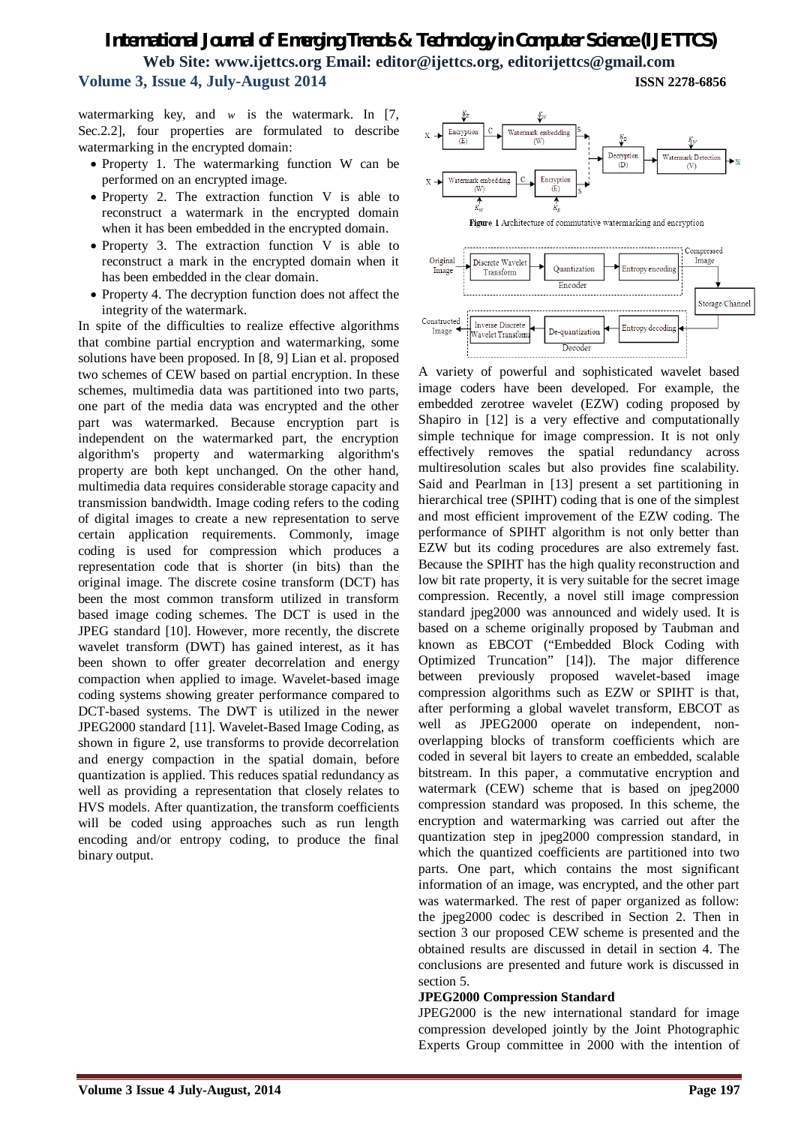watermarking key, and  $w$  is the watermark. In [7, Sec.2.2], four properties are formulated to describe watermarking in the encrypted domain:

- Property 1. The watermarking function W can be performed on an encrypted image.
- Property 2. The extraction function V is able to reconstruct a watermark in the encrypted domain when it has been embedded in the encrypted domain.
- Property 3. The extraction function V is able to reconstruct a mark in the encrypted domain when it has been embedded in the clear domain.
- Property 4. The decryption function does not affect the integrity of the watermark.

In spite of the difficulties to realize effective algorithms that combine partial encryption and watermarking, some solutions have been proposed. In [8, 9] Lian et al. proposed two schemes of CEW based on partial encryption. In these schemes, multimedia data was partitioned into two parts, one part of the media data was encrypted and the other part was watermarked. Because encryption part is independent on the watermarked part, the encryption algorithm's property and watermarking algorithm's property are both kept unchanged. On the other hand, multimedia data requires considerable storage capacity and transmission bandwidth. Image coding refers to the coding of digital images to create a new representation to serve certain application requirements. Commonly, image coding is used for compression which produces a representation code that is shorter (in bits) than the original image. The discrete cosine transform (DCT) has been the most common transform utilized in transform based image coding schemes. The DCT is used in the JPEG standard [10]. However, more recently, the discrete wavelet transform (DWT) has gained interest, as it has been shown to offer greater decorrelation and energy compaction when applied to image. Wavelet-based image coding systems showing greater performance compared to DCT-based systems. The DWT is utilized in the newer JPEG2000 standard [11]. Wavelet-Based Image Coding, as shown in figure 2, use transforms to provide decorrelation and energy compaction in the spatial domain, before quantization is applied. This reduces spatial redundancy as well as providing a representation that closely relates to HVS models. After quantization, the transform coefficients will be coded using approaches such as run length encoding and/or entropy coding, to produce the final binary output.



Decoder

A variety of powerful and sophisticated wavelet based image coders have been developed. For example, the embedded zerotree wavelet (EZW) coding proposed by Shapiro in [12] is a very effective and computationally simple technique for image compression. It is not only effectively removes the spatial redundancy across multiresolution scales but also provides fine scalability. Said and Pearlman in [13] present a set partitioning in hierarchical tree (SPIHT) coding that is one of the simplest and most efficient improvement of the EZW coding. The performance of SPIHT algorithm is not only better than EZW but its coding procedures are also extremely fast. Because the SPIHT has the high quality reconstruction and low bit rate property, it is very suitable for the secret image compression. Recently, a novel still image compression standard jpeg2000 was announced and widely used. It is based on a scheme originally proposed by Taubman and known as EBCOT ("Embedded Block Coding with Optimized Truncation" [14]). The major difference between previously proposed wavelet-based image compression algorithms such as EZW or SPIHT is that, after performing a global wavelet transform, EBCOT as well as JPEG2000 operate on independent, nonoverlapping blocks of transform coefficients which are coded in several bit layers to create an embedded, scalable bitstream. In this paper, a commutative encryption and watermark (CEW) scheme that is based on jpeg2000 compression standard was proposed. In this scheme, the encryption and watermarking was carried out after the quantization step in jpeg2000 compression standard, in which the quantized coefficients are partitioned into two parts. One part, which contains the most significant information of an image, was encrypted, and the other part was watermarked. The rest of paper organized as follow: the jpeg2000 codec is described in Section 2. Then in section 3 our proposed CEW scheme is presented and the obtained results are discussed in detail in section 4. The conclusions are presented and future work is discussed in section 5.

#### **JPEG2000 Compression Standard**

JPEG2000 is the new international standard for image compression developed jointly by the Joint Photographic Experts Group committee in 2000 with the intention of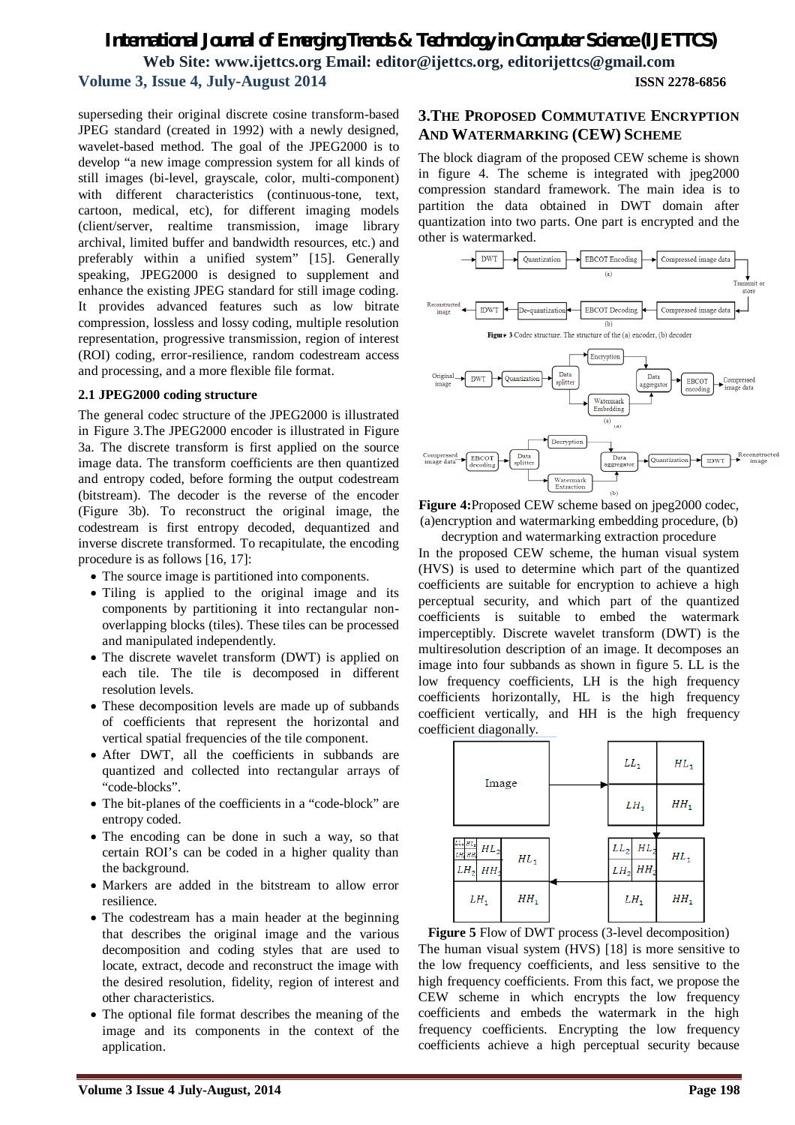superseding their original discrete cosine transform-based JPEG standard (created in 1992) with a newly designed, wavelet-based method. The goal of the JPEG2000 is to develop "a new image compression system for all kinds of still images (bi-level, grayscale, color, multi-component) with different characteristics (continuous-tone, text, cartoon, medical, etc), for different imaging models (client/server, realtime transmission, image library archival, limited buffer and bandwidth resources, etc.) and preferably within a unified system" [15]. Generally speaking, JPEG2000 is designed to supplement and enhance the existing JPEG standard for still image coding. It provides advanced features such as low bitrate compression, lossless and lossy coding, multiple resolution representation, progressive transmission, region of interest (ROI) coding, error-resilience, random codestream access and processing, and a more flexible file format.

#### **2.1 JPEG2000 coding structure**

The general codec structure of the JPEG2000 is illustrated in Figure 3.The JPEG2000 encoder is illustrated in Figure 3a. The discrete transform is first applied on the source image data. The transform coefficients are then quantized and entropy coded, before forming the output codestream (bitstream). The decoder is the reverse of the encoder (Figure 3b). To reconstruct the original image, the codestream is first entropy decoded, dequantized and inverse discrete transformed. To recapitulate, the encoding procedure is as follows [16, 17]:

- The source image is partitioned into components.
- Tiling is applied to the original image and its components by partitioning it into rectangular nonoverlapping blocks (tiles). These tiles can be processed and manipulated independently.
- The discrete wavelet transform (DWT) is applied on each tile. The tile is decomposed in different resolution levels.
- These decomposition levels are made up of subbands of coefficients that represent the horizontal and vertical spatial frequencies of the tile component.
- After DWT, all the coefficients in subbands are quantized and collected into rectangular arrays of "code-blocks".
- The bit-planes of the coefficients in a "code-block" are entropy coded.
- The encoding can be done in such a way, so that certain ROI's can be coded in a higher quality than the background.
- Markers are added in the bitstream to allow error resilience.
- The codestream has a main header at the beginning that describes the original image and the various decomposition and coding styles that are used to locate, extract, decode and reconstruct the image with the desired resolution, fidelity, region of interest and other characteristics.
- The optional file format describes the meaning of the image and its components in the context of the application.

### **3.THE PROPOSED COMMUTATIVE ENCRYPTION AND WATERMARKING (CEW) SCHEME**

The block diagram of the proposed CEW scheme is shown in figure 4. The scheme is integrated with jpeg2000 compression standard framework. The main idea is to partition the data obtained in DWT domain after quantization into two parts. One part is encrypted and the other is watermarked.



**Figure 4:**Proposed CEW scheme based on jpeg2000 codec, (a)encryption and watermarking embedding procedure, (b)

decryption and watermarking extraction procedure In the proposed CEW scheme, the human visual system (HVS) is used to determine which part of the quantized coefficients are suitable for encryption to achieve a high perceptual security, and which part of the quantized coefficients is suitable to embed the watermark imperceptibly. Discrete wavelet transform (DWT) is the multiresolution description of an image. It decomposes an image into four subbands as shown in figure 5. LL is the low frequency coefficients. LH is the high frequency coefficients horizontally, HL is the high frequency coefficient vertically, and HH is the high frequency coefficient diagonally.



**Figure 5** Flow of DWT process (3-level decomposition) The human visual system (HVS) [18] is more sensitive to the low frequency coefficients, and less sensitive to the high frequency coefficients. From this fact, we propose the CEW scheme in which encrypts the low frequency coefficients and embeds the watermark in the high frequency coefficients. Encrypting the low frequency coefficients achieve a high perceptual security because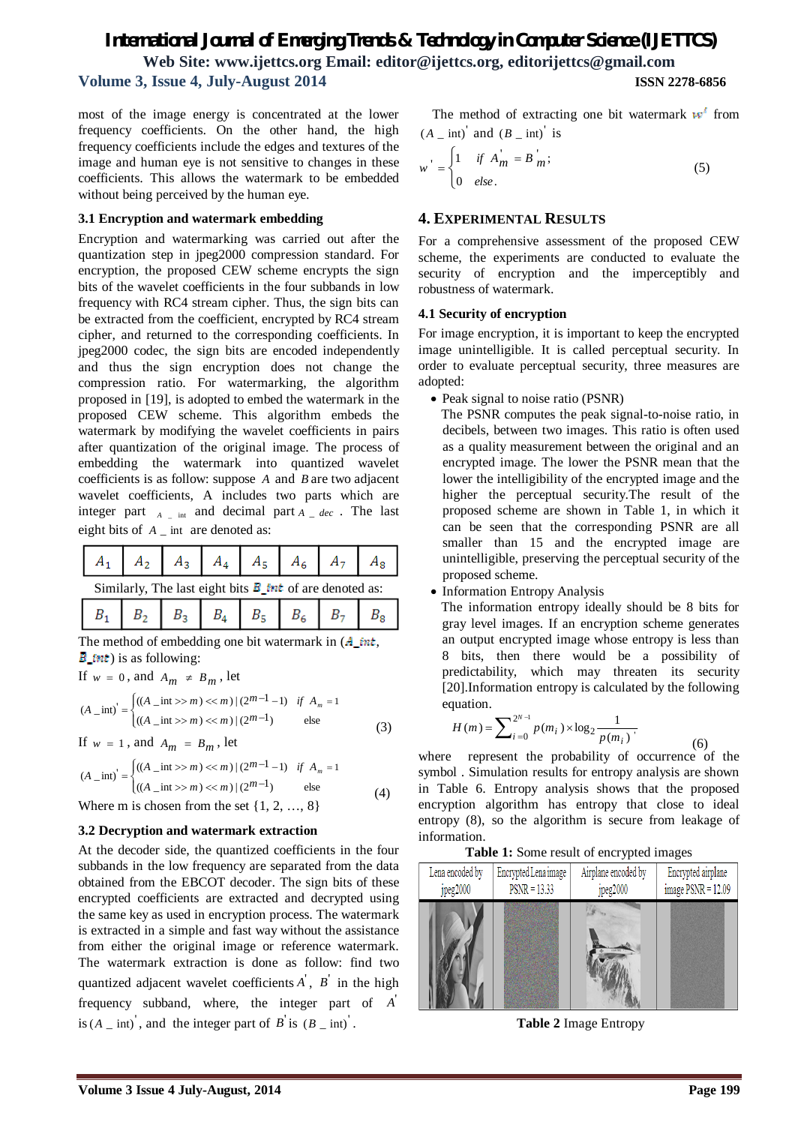most of the image energy is concentrated at the lower frequency coefficients. On the other hand, the high frequency coefficients include the edges and textures of the image and human eye is not sensitive to changes in these coefficients. This allows the watermark to be embedded without being perceived by the human eye.

#### **3.1 Encryption and watermark embedding**

Encryption and watermarking was carried out after the quantization step in jpeg2000 compression standard. For encryption, the proposed CEW scheme encrypts the sign bits of the wavelet coefficients in the four subbands in low frequency with RC4 stream cipher. Thus, the sign bits can be extracted from the coefficient, encrypted by RC4 stream cipher, and returned to the corresponding coefficients. In jpeg2000 codec, the sign bits are encoded independently and thus the sign encryption does not change the compression ratio. For watermarking, the algorithm proposed in [19], is adopted to embed the watermark in the proposed CEW scheme. This algorithm embeds the watermark by modifying the wavelet coefficients in pairs after quantization of the original image. The process of embedding the watermark into quantized wavelet coefficients is as follow: suppose *A* and *B* are two adjacent wavelet coefficients, A includes two parts which are integer part  $A_{\text{max}}$  and decimal part  $A_{\text{max}}$  and  $A_{\text{max}}$ eight bits of *A* \_ int are denoted as:

|                                                              |  |  |  |  |  |  | $A_1 \mid A_2 \mid A_3 \mid A_4 \mid A_5 \mid A_6 \mid A_7 \mid A_8 \mid$ |
|--------------------------------------------------------------|--|--|--|--|--|--|---------------------------------------------------------------------------|
| Similarly The lest sight hits <b>B</b> int of an denoted car |  |  |  |  |  |  |                                                                           |

The method of embedding one bit watermark in  $(A\_int,$  $\vec{B}_{\perp}$  *int*) is as following:

If 
$$
w = 0
$$
, and  $A_m \neq B_m$ , let

$$
(A_{\text{int}})' = \begin{cases} ((A_{\text{int}}) > m) \ll m) | (2^{m-1} - 1) & \text{if } A_m = 1 \\ ((A_{\text{int}}) > m) \ll m) | (2^{m-1}) & \text{else} \end{cases}
$$
(3)

If  $w = 1$ , and  $A_m = B_m$ , let

$$
(A_{\text{int}}) = \begin{cases} ((A_{\text{int}}) > m) \ll m) | (2^{m-1} - 1) & \text{if } A_m = 1 \\ ((A_{\text{int}}) > m) \ll m) | (2^{m-1}) & \text{else} \end{cases}
$$
(4)

Where m is chosen from the set  $\{1, 2, ..., 8\}$ 

#### **3.2 Decryption and watermark extraction**

At the decoder side, the quantized coefficients in the four subbands in the low frequency are separated from the data obtained from the EBCOT decoder. The sign bits of these encrypted coefficients are extracted and decrypted using the same key as used in encryption process. The watermark is extracted in a simple and fast way without the assistance from either the original image or reference watermark. The watermark extraction is done as follow: find two quantized adjacent wavelet coefficients  $\overrightarrow{A}$ ,  $\overrightarrow{B}$  in the high frequency subband, where, the integer part of  $\vec{A}$ is  $(A \text{ }_-$  int)<sup>'</sup>, and the integer part of  $B$ <sup>'</sup> is  $(B \text{ }_-$  int)<sup>'</sup>.

The method of extracting one bit watermark  $w^r$  from  $(A \text{ int})$  and  $(B \text{ int})$  is

$$
w' = \begin{cases} 1 & \text{if } A_m' = B_m'; \\ 0 & \text{else.} \end{cases}
$$
 (5)

#### **4. EXPERIMENTAL RESULTS**

For a comprehensive assessment of the proposed CEW scheme, the experiments are conducted to evaluate the security of encryption and the imperceptibly and robustness of watermark.

#### **4.1 Security of encryption**

For image encryption, it is important to keep the encrypted image unintelligible. It is called perceptual security. In order to evaluate perceptual security, three measures are adopted:

• Peak signal to noise ratio (PSNR)

 The PSNR computes the peak signal-to-noise ratio, in decibels, between two images. This ratio is often used as a quality measurement between the original and an encrypted image. The lower the PSNR mean that the lower the intelligibility of the encrypted image and the higher the perceptual security.The result of the proposed scheme are shown in Table 1, in which it can be seen that the corresponding PSNR are all smaller than 15 and the encrypted image are unintelligible, preserving the perceptual security of the proposed scheme.

• Information Entropy Analysis

 The information entropy ideally should be 8 bits for gray level images. If an encryption scheme generates an output encrypted image whose entropy is less than 8 bits, then there would be a possibility of predictability, which may threaten its security [20].Information entropy is calculated by the following equation.

$$
H(m) = \sum_{i=0}^{2^{N-1}} p(m_i) \times \log_2 \frac{1}{p(m_i)}\tag{6}
$$

where represent the probability of occurrence of the symbol . Simulation results for entropy analysis are shown in Table 6. Entropy analysis shows that the proposed encryption algorithm has entropy that close to ideal entropy (8), so the algorithm is secure from leakage of information.

#### **Table 1:** Some result of encrypted images



**Table 2** Image Entropy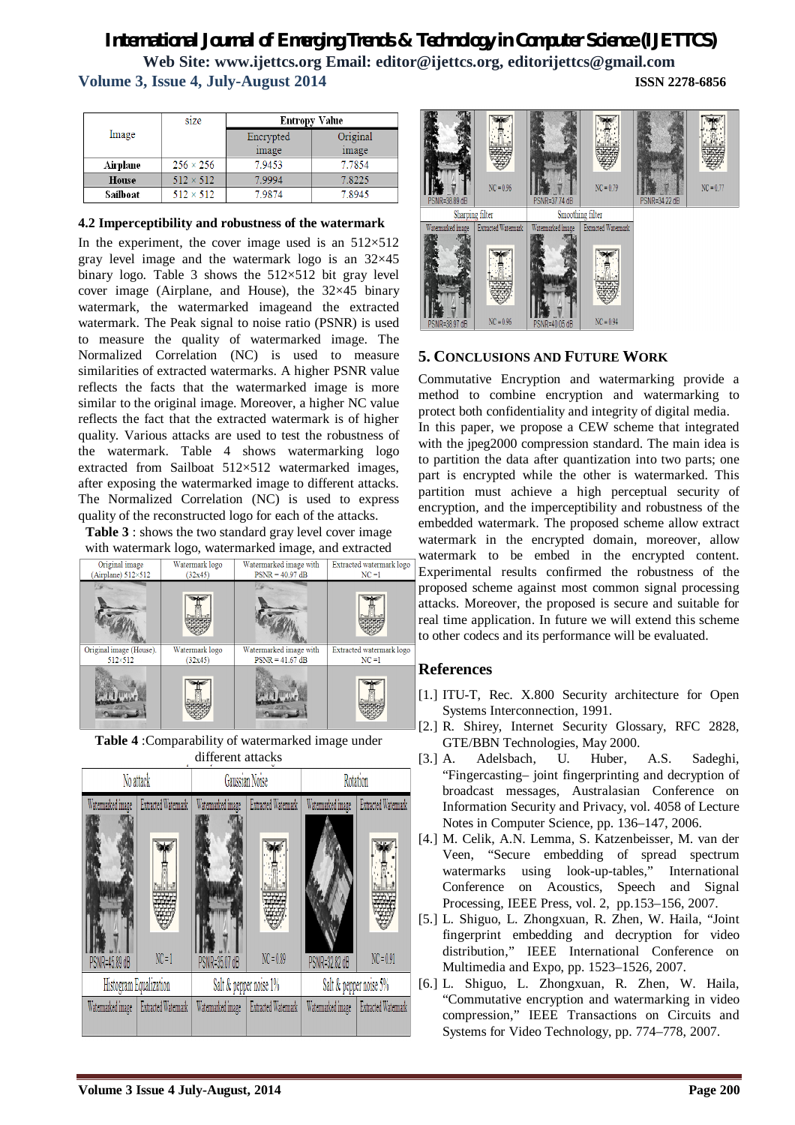|          | size             | <b>Entropy Value</b> |          |  |  |
|----------|------------------|----------------------|----------|--|--|
| Image    |                  | Encrypted            | Original |  |  |
|          |                  | image                | image    |  |  |
| Airplane | $256 \times 256$ | 7.9453               | 7.7854   |  |  |
| House    | $512 \times 512$ | 7.9994               | 7.8225   |  |  |
| Sailboat | $512 \times 512$ | 7.9874               | 7.8945   |  |  |

#### **4.2 Imperceptibility and robustness of the watermark**

In the experiment, the cover image used is an  $512\times512$ gray level image and the watermark logo is an 32×45 binary logo. Table 3 shows the  $512\times512$  bit gray level cover image (Airplane, and House), the 32×45 binary watermark, the watermarked imageand the extracted watermark. The Peak signal to noise ratio (PSNR) is used to measure the quality of watermarked image. The Normalized Correlation (NC) is used to measure similarities of extracted watermarks. A higher PSNR value reflects the facts that the watermarked image is more similar to the original image. Moreover, a higher NC value reflects the fact that the extracted watermark is of higher quality. Various attacks are used to test the robustness of the watermark. Table 4 shows watermarking logo extracted from Sailboat 512×512 watermarked images, after exposing the watermarked image to different attacks. The Normalized Correlation (NC) is used to express quality of the reconstructed logo for each of the attacks.

**Table 3** : shows the two standard gray level cover image with watermark logo, watermarked image, and extracted



**Table 4** :Comparability of watermarked image under different attacks





## **5. CONCLUSIONS AND FUTURE WORK**

Commutative Encryption and watermarking provide a method to combine encryption and watermarking to protect both confidentiality and integrity of digital media. In this paper, we propose a CEW scheme that integrated with the jpeg2000 compression standard. The main idea is to partition the data after quantization into two parts; one part is encrypted while the other is watermarked. This partition must achieve a high perceptual security of encryption, and the imperceptibility and robustness of the embedded watermark. The proposed scheme allow extract watermark in the encrypted domain, moreover, allow watermark to be embed in the encrypted content. Experimental results confirmed the robustness of the proposed scheme against most common signal processing attacks. Moreover, the proposed is secure and suitable for real time application. In future we will extend this scheme to other codecs and its performance will be evaluated.

## **References**

- [1.] ITU-T, Rec. X.800 Security architecture for Open Systems Interconnection, 1991.
- [2.] R. Shirey, Internet Security Glossary, RFC 2828, GTE/BBN Technologies, May 2000.
- [3.] A. Adelsbach, U. Huber, A.S. Sadeghi, "Fingercasting– joint fingerprinting and decryption of broadcast messages, Australasian Conference on Information Security and Privacy, vol. 4058 of Lecture Notes in Computer Science, pp. 136–147, 2006.
- [4.] M. Celik, A.N. Lemma, S. Katzenbeisser, M. van der Veen, "Secure embedding of spread spectrum watermarks using look-up-tables," International Conference on Acoustics, Speech and Signal Processing, IEEE Press, vol. 2, pp.153–156, 2007.
- [5.] L. Shiguo, L. Zhongxuan, R. Zhen, W. Haila, "Joint fingerprint embedding and decryption for video distribution," IEEE International Conference on Multimedia and Expo, pp. 1523–1526, 2007.
- [6.] L. Shiguo, L. Zhongxuan, R. Zhen, W. Haila, "Commutative encryption and watermarking in video compression," IEEE Transactions on Circuits and Systems for Video Technology, pp. 774–778, 2007.